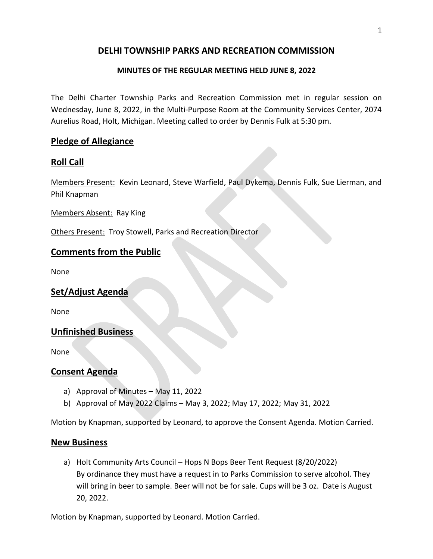### **DELHI TOWNSHIP PARKS AND RECREATION COMMISSION**

#### **MINUTES OF THE REGULAR MEETING HELD JUNE 8, 2022**

The Delhi Charter Township Parks and Recreation Commission met in regular session on Wednesday, June 8, 2022, in the Multi-Purpose Room at the Community Services Center, 2074 Aurelius Road, Holt, Michigan. Meeting called to order by Dennis Fulk at 5:30 pm.

### **Pledge of Allegiance**

### **Roll Call**

Members Present: Kevin Leonard, Steve Warfield, Paul Dykema, Dennis Fulk, Sue Lierman, and Phil Knapman

Members Absent: Ray King

Others Present: Troy Stowell, Parks and Recreation Director

### **Comments from the Public**

None

#### **Set/Adjust Agenda**

None

#### **Unfinished Business**

None

#### **Consent Agenda**

- a) Approval of Minutes May 11, 2022
- b) Approval of May 2022 Claims May 3, 2022; May 17, 2022; May 31, 2022

Motion by Knapman, supported by Leonard, to approve the Consent Agenda. Motion Carried.

#### **New Business**

a) Holt Community Arts Council – Hops N Bops Beer Tent Request (8/20/2022) By ordinance they must have a request in to Parks Commission to serve alcohol. They will bring in beer to sample. Beer will not be for sale. Cups will be 3 oz. Date is August 20, 2022.

Motion by Knapman, supported by Leonard. Motion Carried.